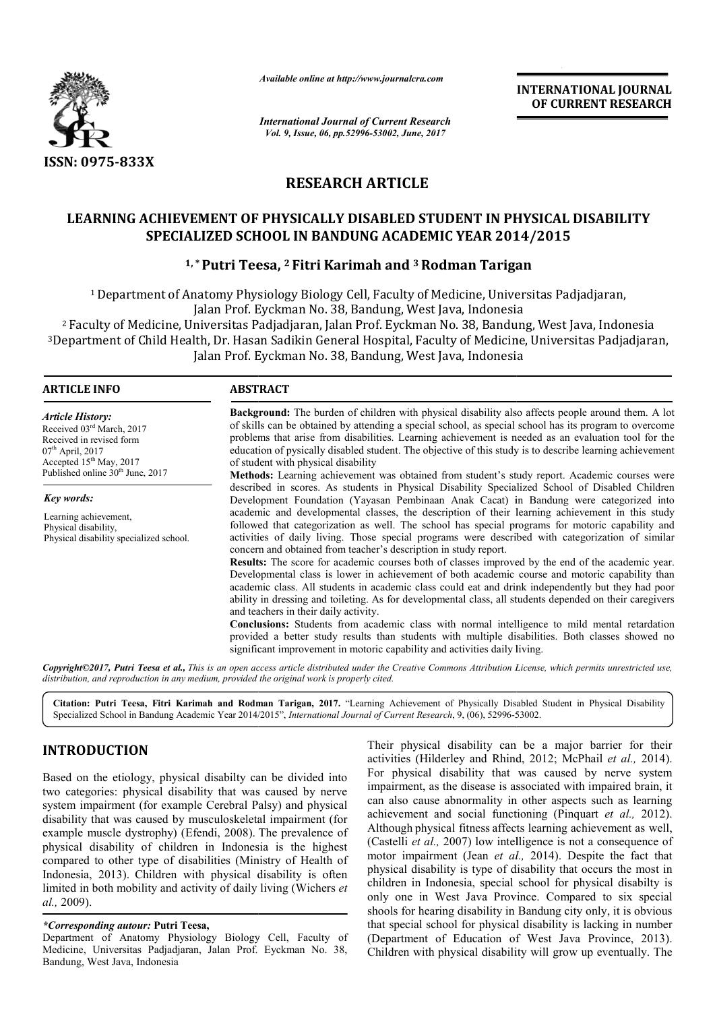

*Available online at http://www.journalcra.com*

*International Journal of Current Research Vol. 9, Issue, 06, pp.52996-53002, June, 2017*

**INTERNATIONAL JOURNAL OF CURRENT RESEARCH** 

# **RESEARCH ARTICLE**

# **LEARNING ACHIEVEMENT OF PHYSICALLY DISABLED STUDENT IN PHYSICAL DISABILITY SPECIALIZED SCHOOL IN BANDUNG ACADEMIC YEAR 2014/2015 ACHIEVEMENT OF PHYSICALLY DISABLED STUDENT IN PHYSICAL SPECIALIZED SCHOOL IN BANDUNG ACADEMIC YEAR 2014/2015**<br><sup>1,\*</sup>Putri Teesa, <sup>2</sup> Fitri Karimah and <sup>3</sup> Rodman Tarigan

# **1, \* Putri Teesa, 2 Fitri Karimah and 3 Rodman Tarigan**

1 Department of Anatomy Physiology Biology Cell, Faculty of Medicine, Universitas Padjadjaran, Jalan Prof. Eyckman No. 38, Bandung, West Java, Indonesia

2 Faculty of Medicine, Universitas Padjadjaran, Jalan Prof. Eyckman No. 38, Bandung, West Java, Indonesia No. 38, Bandung, <sup>3</sup>Department of Child Health, Dr. Hasan Sadikin General Hospital, Faculty of Medicine, Universitas Padjadjaran, Jalan Prof. Eyckman No. 38, Bandung, West Java, Indonesia

# **ARTICLE INFO ABSTRACT**

*Article History:* Received 03rd March, 2017 Received in revised form 07<sup>th</sup> April, 2017 Accepted 15<sup>th</sup> May, 2017 Published online 30<sup>th</sup> June, 2017

*Key words:* Learning achievement, Physical disability, Physical disability specialized school.

**Background:** The burden of children with physical disability also affects people around them. A lot of skills can be obtained by attending a special school, as special school has its program to overcome problems that arise from disabilities. Learning achievement is needed as an evaluation tool for the education of pysically disabled student. The objective of this study is to describe learning achievement of student with physical disability

**Methods:** Learning achievement was obtained from student's study report. Academic courses were described in scores. As students in Physical Disability Specialized School of Disabled Children Development Foundation (Yayasan Pembinaan Anak Cacat) in Bandung were categorized into academ academic and developmental classes, the description of their learning achievement in this study followed that categorization as well. The school has special programs for motoric capability and activities of daily living. Those special programs were described with categorization of similar concern and obtained from teacher's description in study report. **Background:** The burden of children with physical disability also affects people around them. A lot of skills can be obtained by attending a special school, as special school has its program to overcome problems that aris

**Results:** The score for academic courses both of classes improved by the end of the academic year. Results: The score for academic courses both of classes improved by the end of the academic year.<br>Developmental class is lower in achievement of both academic course and motoric capability than academic class. All students in academic class could eat and drink independently but they had poor ability in dressing and toileting. As for developmental class, all students depended on their caregivers and teachers in their daily activity. academic class. All students in academic class could eat and drink independently but they had p<br>ability in dressing and toileting. As for developmental class, all students depended on their caregiv<br>and teachers in their da

**Conclusions:** Students from academic class with normal intelligence to mild mental retardation provided a better study results than students with multiple disabilities. Both classes showed no significant improvement in motoric capability and activities daily living.

*Copyright©2017, Putri Teesa et al., This is an open access article distributed under the Creative Commons Att Attribution License, which ribution permits unrestricted use, distribution, and reproduction in any medium, provided the original work is properly cited.*

Citation: Putri Teesa, Fitri Karimah and Rodman Tarigan, 2017. "Learning Achievement of Physically Disabled Student in Physical Disability<br>Specialized School in Bandung Academic Year 2014/2015", *International Journal of C* Specialized School in Bandung Academic Year 2014/2015", *International Journal of Current Research*, 9, (06), 52996-53002.

# **INTRODUCTION**

Based on the etiology, physical disabilty can be divided into two categories: physical disability that was caused by nerve system impairment (for example Cerebral Palsy) and physical disability that was caused by musculoskeletal impairment (for example muscle dystrophy) (Efendi, 2008). The prevalence of physical disability of children in Indonesia is the highest physical disability of children in Indonesia is the highest compared to other type of disabilities (Ministry of Health of Indonesia, 2013). Children with physical disability is often limited in both mobility and activity of daily living (Wichers *et al.,* 2009).

# *\*Corresponding autour:* **Putri Teesa,**

Department of Anatomy Physiology Biology Cell, Faculty of Medicine, Universitas Padjadjaran, Jalan Prof. Eyckman No. 38, Bandung, West Java, Indonesia

Their physical disability can be a major barrier for their Their physical disability can be a major barrier for their activities (Hilderley and Rhind, 2012; McPhail *et al.*, 2014). For physical disability that was caused by nerve system impairment, as the disease is associated with impaired brain, it can also cause abnormality in other aspects such as learning achievement and social functioning (Pinquart *et al.,* 2012). Although physical fitness affects learning achievement as well, (Castelli *et al.,* 2007) low intelligence is not a consequence of motor impairment (Jean *et al.*, 2014). Despite the fact that physical disability is type of disability that occurs the most in children in Indonesia, special school for physical disabilty is only one in West Java Province. Compared to six special shools for hearing disability in Bandung city only, it is obvious that special school for physical disability is lacking in number (Department of Education of West Java Province, 2013). Children with physical disability will grow up eventually. The For physical disability that was caused by nerve impairment, as the disease is associated with impaired can also cause abnormality in other aspects such as Indonesia, special school for physical disabilty is<br>in West Java Province. Compared to six special<br>hearing disability in Bandung city only, it is obvious<br>il school for physical disability is lacking in number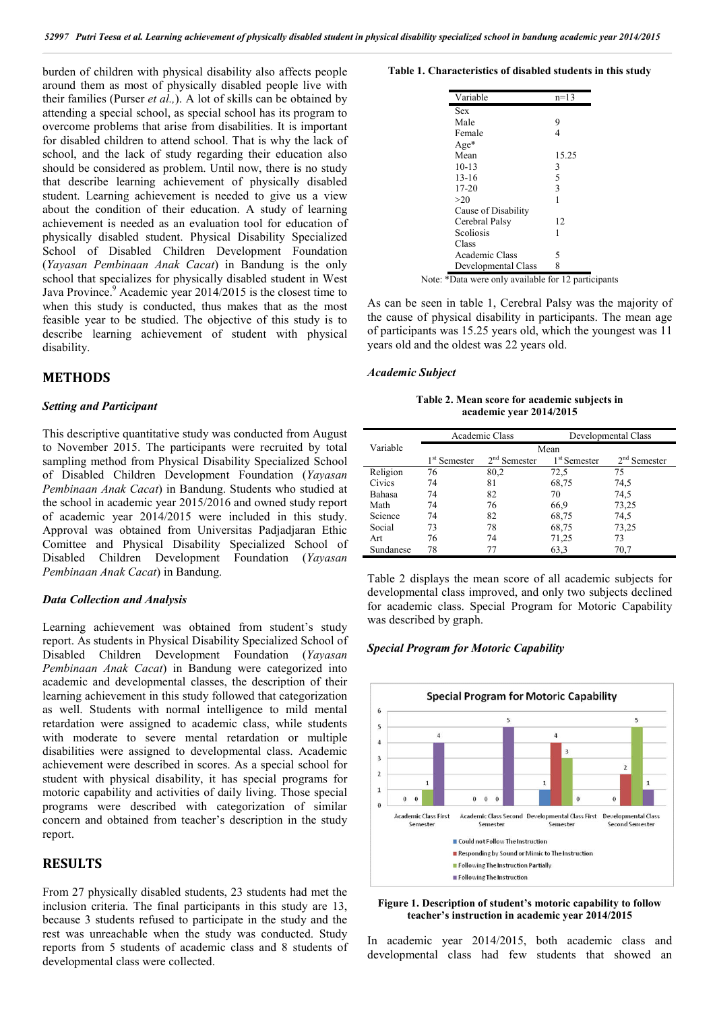burden of children with physical disability also affects people around them as most of physically disabled people live with their families (Purser *et al.,*). A lot of skills can be obtained by attending a special school, as special school has its program to overcome problems that arise from disabilities. It is important for disabled children to attend school. That is why the lack of school, and the lack of study regarding their education also should be considered as problem. Until now, there is no study that describe learning achievement of physically disabled student. Learning achievement is needed to give us a view about the condition of their education. A study of learning achievement is needed as an evaluation tool for education of physically disabled student. Physical Disability Specialized School of Disabled Children Development Foundation (*Yayasan Pembinaan Anak Cacat*) in Bandung is the only school that specializes for physically disabled student in West Java Province.<sup>9</sup> Academic year 2014/2015 is the closest time to when this study is conducted, thus makes that as the most feasible year to be studied. The objective of this study is to describe learning achievement of student with physical disability.

## **METHODS**

#### *Setting and Participant*

This descriptive quantitative study was conducted from August to November 2015. The participants were recruited by total sampling method from Physical Disability Specialized School of Disabled Children Development Foundation (*Yayasan Pembinaan Anak Cacat*) in Bandung. Students who studied at the school in academic year 2015/2016 and owned study report of academic year 2014/2015 were included in this study. Approval was obtained from Universitas Padjadjaran Ethic Comittee and Physical Disability Specialized School of Disabled Children Development Foundation (*Yayasan Pembinaan Anak Cacat*) in Bandung.

#### *Data Collection and Analysis*

Learning achievement was obtained from student's study report. As students in Physical Disability Specialized School of Disabled Children Development Foundation (*Yayasan Pembinaan Anak Cacat*) in Bandung were categorized into academic and developmental classes, the description of their learning achievement in this study followed that categorization as well. Students with normal intelligence to mild mental retardation were assigned to academic class, while students with moderate to severe mental retardation or multiple disabilities were assigned to developmental class. Academic achievement were described in scores. As a special school for student with physical disability, it has special programs for motoric capability and activities of daily living. Those special programs were described with categorization of similar concern and obtained from teacher's description in the study report.

# **RESULTS**

From 27 physically disabled students, 23 students had met the inclusion criteria. The final participants in this study are 13, because 3 students refused to participate in the study and the rest was unreachable when the study was conducted. Study reports from 5 students of academic class and 8 students of developmental class were collected.

#### **Table 1. Characteristics of disabled students in this study**

| Variable            | $n=13$ |
|---------------------|--------|
| Sex                 |        |
| Male                | 9      |
| Female              | 4      |
| $Age*$              |        |
| Mean                | 15.25  |
| $10-13$             | 3      |
| $13 - 16$           | 5      |
| $17 - 20$           | 3      |
| >20                 | 1      |
| Cause of Disability |        |
| Cerebral Palsy      | 12     |
| Scoliosis           | 1      |
| Class               |        |
| Academic Class      | 5      |
| Developmental Class | 8      |

As can be seen in table 1, Cerebral Palsy was the majority of the cause of physical disability in participants. The mean age of participants was 15.25 years old, which the youngest was 11 years old and the oldest was 22 years old.

#### *Academic Subject*

**Table 2. Mean score for academic subjects in academic year 2014/2015**

|           |                          | Academic Class |                | Developmental Class |
|-----------|--------------------------|----------------|----------------|---------------------|
| Variable  | Mean                     |                |                |                     |
|           | 1 <sup>st</sup> Semester | $2nd$ Semester | $1st$ Semester | $2nd$ Semester      |
| Religion  | 76                       | 80,2           | 72,5           | 75                  |
| Civics    | 74                       | 81             | 68,75          | 74,5                |
| Bahasa    | 74                       | 82             | 70             | 74,5                |
| Math      | 74                       | 76             | 66,9           | 73,25               |
| Science   | 74                       | 82             | 68,75          | 74,5                |
| Social    | 73                       | 78             | 68,75          | 73,25               |
| Art       | 76                       | 74             | 71,25          | 73                  |
| Sundanese | 78                       | 77             | 63.3           | 70,7                |

Table 2 displays the mean score of all academic subjects for developmental class improved, and only two subjects declined for academic class. Special Program for Motoric Capability was described by graph.

#### *Special Program for Motoric Capability*



#### **Figure 1. Description of student's motoric capability to follow teacher's instruction in academic year 2014/2015**

In academic year 2014/2015, both academic class and developmental class had few students that showed an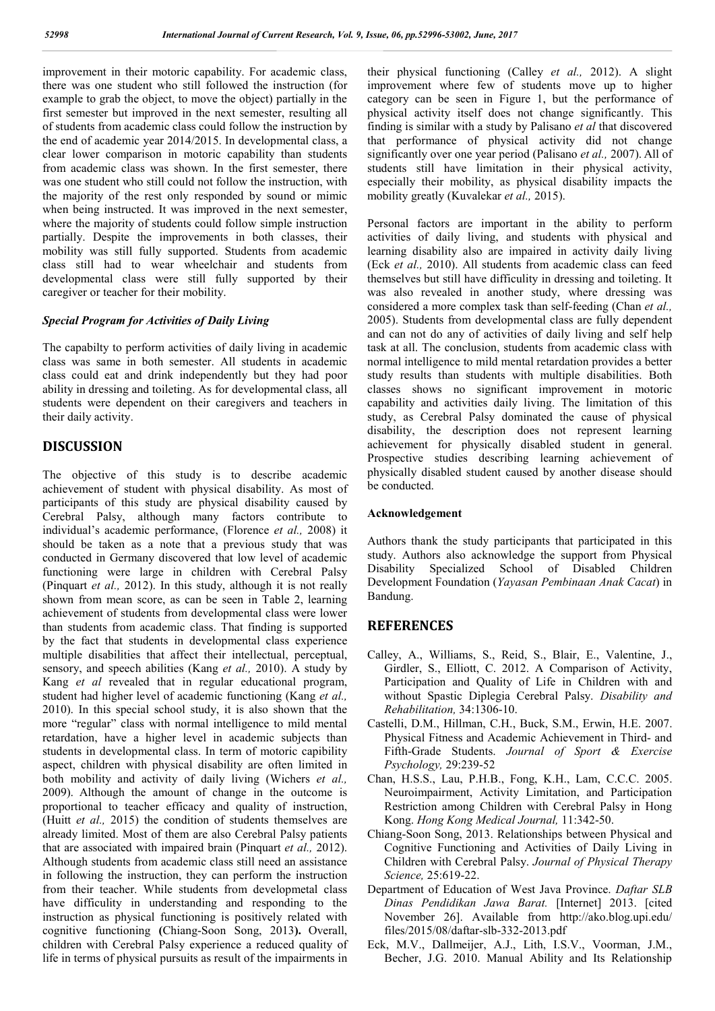improvement in their motoric capability. For academic class, there was one student who still followed the instruction (for example to grab the object, to move the object) partially in the first semester but improved in the next semester, resulting all of students from academic class could follow the instruction by the end of academic year 2014/2015. In developmental class, a clear lower comparison in motoric capability than students from academic class was shown. In the first semester, there was one student who still could not follow the instruction, with the majority of the rest only responded by sound or mimic when being instructed. It was improved in the next semester, where the majority of students could follow simple instruction partially. Despite the improvements in both classes, their mobility was still fully supported. Students from academic class still had to wear wheelchair and students from developmental class were still fully supported by their caregiver or teacher for their mobility.

### *Special Program for Activities of Daily Living*

The capabilty to perform activities of daily living in academic class was same in both semester. All students in academic class could eat and drink independently but they had poor ability in dressing and toileting. As for developmental class, all students were dependent on their caregivers and teachers in their daily activity.

# **DISCUSSION**

The objective of this study is to describe academic achievement of student with physical disability. As most of participants of this study are physical disability caused by Cerebral Palsy, although many factors contribute to individual's academic performance, (Florence *et al.,* 2008) it should be taken as a note that a previous study that was conducted in Germany discovered that low level of academic functioning were large in children with Cerebral Palsy (Pinquart *et al.,* 2012). In this study, although it is not really shown from mean score, as can be seen in Table 2, learning achievement of students from developmental class were lower than students from academic class. That finding is supported by the fact that students in developmental class experience multiple disabilities that affect their intellectual, perceptual, sensory, and speech abilities (Kang *et al.,* 2010). A study by Kang *et al* revealed that in regular educational program, student had higher level of academic functioning (Kang *et al.,*  2010). In this special school study, it is also shown that the more "regular" class with normal intelligence to mild mental retardation, have a higher level in academic subjects than students in developmental class. In term of motoric capibility aspect, children with physical disability are often limited in both mobility and activity of daily living (Wichers *et al.,*  2009). Although the amount of change in the outcome is proportional to teacher efficacy and quality of instruction, (Huitt *et al.,* 2015) the condition of students themselves are already limited. Most of them are also Cerebral Palsy patients that are associated with impaired brain (Pinquart *et al.,* 2012). Although students from academic class still need an assistance in following the instruction, they can perform the instruction from their teacher. While students from developmetal class have difficulity in understanding and responding to the instruction as physical functioning is positively related with cognitive functioning **(**Chiang-Soon Song, 2013**).** Overall, children with Cerebral Palsy experience a reduced quality of life in terms of physical pursuits as result of the impairments in their physical functioning (Calley *et al.,* 2012). A slight improvement where few of students move up to higher category can be seen in Figure 1, but the performance of physical activity itself does not change significantly. This finding is similar with a study by Palisano *et al* that discovered that performance of physical activity did not change significantly over one year period (Palisano *et al.,* 2007). All of students still have limitation in their physical activity, especially their mobility, as physical disability impacts the mobility greatly (Kuvalekar *et al.,* 2015).

Personal factors are important in the ability to perform activities of daily living, and students with physical and learning disability also are impaired in activity daily living (Eck *et al.,* 2010). All students from academic class can feed themselves but still have difficulity in dressing and toileting. It was also revealed in another study, where dressing was considered a more complex task than self-feeding (Chan *et al.,*  2005). Students from developmental class are fully dependent and can not do any of activities of daily living and self help task at all. The conclusion, students from academic class with normal intelligence to mild mental retardation provides a better study results than students with multiple disabilities. Both classes shows no significant improvement in motoric capability and activities daily living. The limitation of this study, as Cerebral Palsy dominated the cause of physical disability, the description does not represent learning achievement for physically disabled student in general. Prospective studies describing learning achievement of physically disabled student caused by another disease should be conducted.

#### **Acknowledgement**

Authors thank the study participants that participated in this study. Authors also acknowledge the support from Physical Disability Specialized School of Disabled Children Development Foundation (*Yayasan Pembinaan Anak Cacat*) in Bandung.

# **REFERENCES**

- Calley, A., Williams, S., Reid, S., Blair, E., Valentine, J., Girdler, S., Elliott, C. 2012. A Comparison of Activity, Participation and Quality of Life in Children with and without Spastic Diplegia Cerebral Palsy. *Disability and Rehabilitation,* 34:1306-10.
- Castelli, D.M., Hillman, C.H., Buck, S.M., Erwin, H.E. 2007. Physical Fitness and Academic Achievement in Third- and Fifth-Grade Students. *Journal of Sport & Exercise Psychology,* 29:239-52
- Chan, H.S.S., Lau, P.H.B., Fong, K.H., Lam, C.C.C. 2005. Neuroimpairment, Activity Limitation, and Participation Restriction among Children with Cerebral Palsy in Hong Kong. *Hong Kong Medical Journal,* 11:342-50.
- Chiang-Soon Song, 2013. Relationships between Physical and Cognitive Functioning and Activities of Daily Living in Children with Cerebral Palsy. *Journal of Physical Therapy Science,* 25:619-22.
- Department of Education of West Java Province. *Daftar SLB Dinas Pendidikan Jawa Barat.* [Internet] 2013. [cited November 26]. Available from http://ako.blog.upi.edu/ files/2015/08/daftar-slb-332-2013.pdf
- Eck, M.V., Dallmeijer, A.J., Lith, I.S.V., Voorman, J.M., Becher, J.G. 2010. Manual Ability and Its Relationship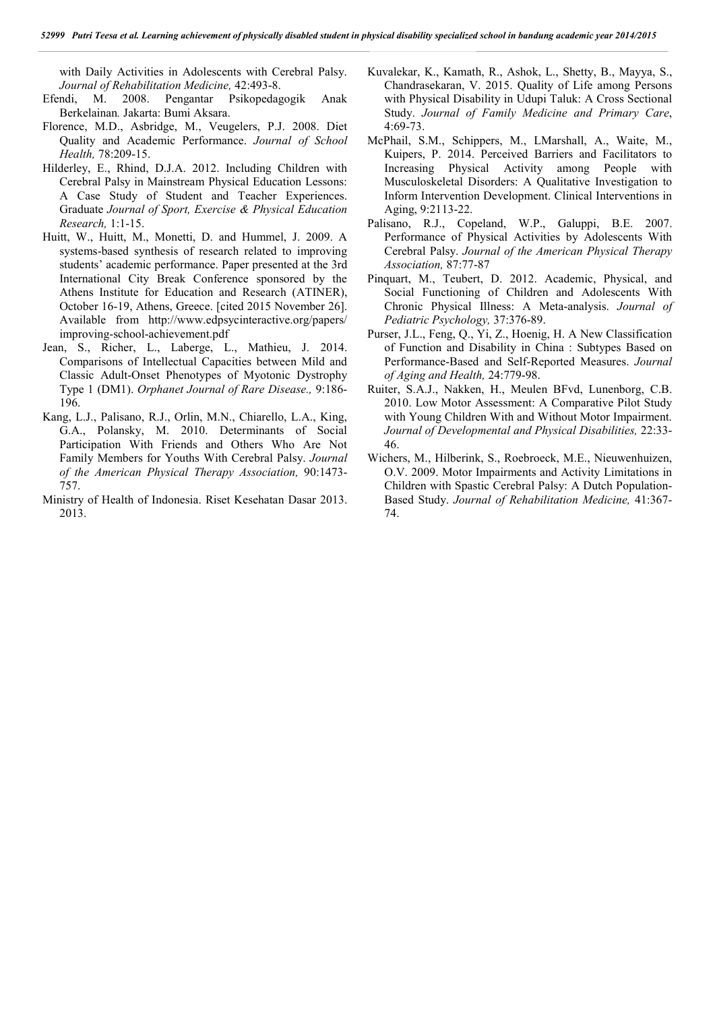with Daily Activities in Adolescents with Cerebral Palsy. *Journal of Rehabilitation Medicine,* 42:493-8.

- Efendi, M. 2008. Pengantar Psikopedagogik Anak Berkelainan*.* Jakarta: Bumi Aksara.
- Florence, M.D., Asbridge, M., Veugelers, P.J. 2008. Diet Quality and Academic Performance. *Journal of School Health,* 78:209-15.
- Hilderley, E., Rhind, D.J.A. 2012. Including Children with Cerebral Palsy in Mainstream Physical Education Lessons: A Case Study of Student and Teacher Experiences. Graduate *Journal of Sport, Exercise & Physical Education Research,* 1:1-15.
- Huitt, W., Huitt, M., Monetti, D. and Hummel, J. 2009. A systems-based synthesis of research related to improving students' academic performance. Paper presented at the 3rd International City Break Conference sponsored by the Athens Institute for Education and Research (ATINER), October 16-19, Athens, Greece. [cited 2015 November 26]. Available from http://www.edpsycinteractive.org/papers/ improving-school-achievement.pdf
- Jean, S., Richer, L., Laberge, L., Mathieu, J. 2014. Comparisons of Intellectual Capacities between Mild and Classic Adult-Onset Phenotypes of Myotonic Dystrophy Type 1 (DM1). *Orphanet Journal of Rare Disease.,* 9:186- 196.
- Kang, L.J., Palisano, R.J., Orlin, M.N., Chiarello, L.A., King, G.A., Polansky, M. 2010. Determinants of Social Participation With Friends and Others Who Are Not Family Members for Youths With Cerebral Palsy. *Journal of the American Physical Therapy Association,* 90:1473- 757.
- Ministry of Health of Indonesia. Riset Kesehatan Dasar 2013. 2013.
- Kuvalekar, K., Kamath, R., Ashok, L., Shetty, B., Mayya, S., Chandrasekaran, V. 2015. Quality of Life among Persons with Physical Disability in Udupi Taluk: A Cross Sectional Study. *Journal of Family Medicine and Primary Care*, 4:69-73.
- McPhail, S.M., Schippers, M., LMarshall, A., Waite, M., Kuipers, P. 2014. Perceived Barriers and Facilitators to Increasing Physical Activity among People with Musculoskeletal Disorders: A Qualitative Investigation to Inform Intervention Development. Clinical Interventions in Aging, 9:2113-22.
- Palisano, R.J., Copeland, W.P., Galuppi, B.E. 2007. Performance of Physical Activities by Adolescents With Cerebral Palsy. *Journal of the American Physical Therapy Association,* 87:77-87
- Pinquart, M., Teubert, D. 2012. Academic, Physical, and Social Functioning of Children and Adolescents With Chronic Physical Illness: A Meta-analysis. *Journal of Pediatric Psychology,* 37:376-89.
- Purser, J.L., Feng, Q., Yi, Z., Hoenig, H. A New Classification of Function and Disability in China : Subtypes Based on Performance-Based and Self-Reported Measures. *Journal of Aging and Health,* 24:779-98.
- Ruiter, S.A.J., Nakken, H., Meulen BFvd, Lunenborg, C.B. 2010. Low Motor Assessment: A Comparative Pilot Study with Young Children With and Without Motor Impairment. *Journal of Developmental and Physical Disabilities,* 22:33- 46.
- Wichers, M., Hilberink, S., Roebroeck, M.E., Nieuwenhuizen, O.V. 2009. Motor Impairments and Activity Limitations in Children with Spastic Cerebral Palsy: A Dutch Population-Based Study. *Journal of Rehabilitation Medicine,* 41:367- 74.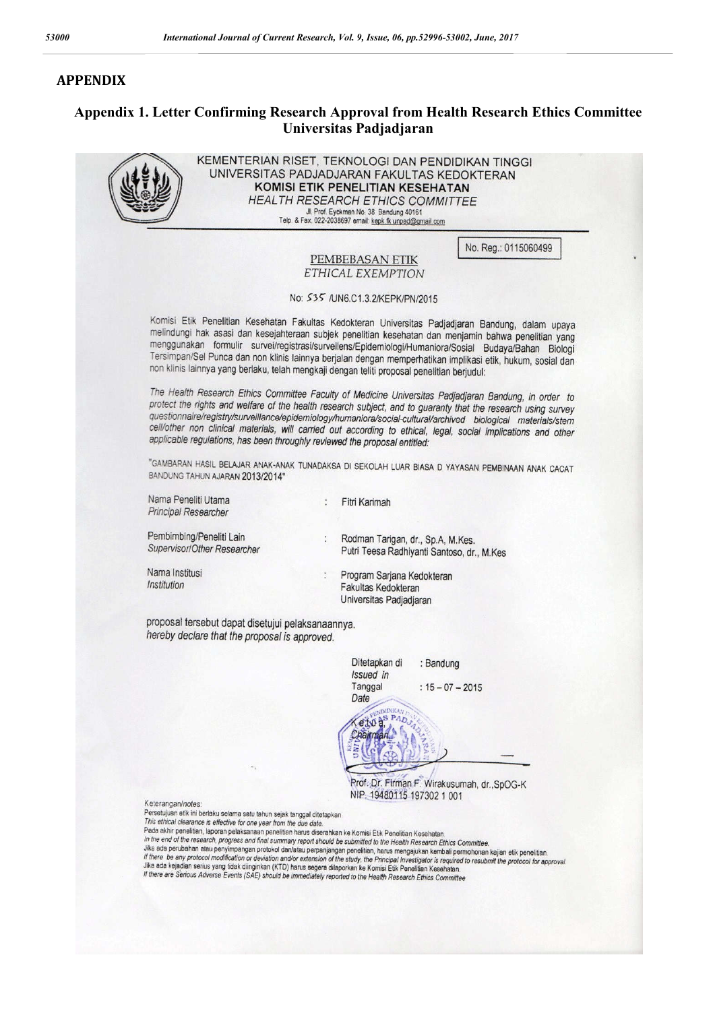## **APPENDIX**

# **Appendix 1. Letter Confirming Research Approval from Health Research Ethics Committee Universitas Padjadjaran**



KEMENTERIAN RISET, TEKNOLOGI DAN PENDIDIKAN TINGGI UNIVERSITAS PADJADJARAN FAKULTAS KEDOKTERAN KOMISI ETIK PENELITIAN KESEHATAN **HEALTH RESEARCH ETHICS COMMITTEE** Jl. Prof. Eyckman No. 38 Bandung 40161<br>Telp. & Fax. 022-2038697 email: kepk.fk.unpad@gmail.com

No. Reg.: 0115060499

#### PEMBEBASAN ETIK ETHICAL EXEMPTION

#### No: 535 /UN6.C1.3.2/KEPK/PN/2015

Komisi Etik Penelitian Kesehatan Fakultas Kedokteran Universitas Padjadjaran Bandung, dalam upaya melindungi hak asasi dan kesejahteraan subjek penelitian kesehatan dan menjamin bahwa penelitian yang menggunakan formulir survei/registrasi/surveilens/Epidemiologi/Humaniora/Sosial Budaya/Bahan Biologi Tersimpan/Sel Punca dan non klinis lainnya berjalan dengan memperhatikan implikasi etik, hukum, sosial dan non klinis lainnya yang berlaku, telah mengkaji dengan teliti proposal penelitian berjudul:

The Health Research Ethics Committee Faculty of Medicine Universitas Padjadjaran Bandung, in order to protect the rights and welfare of the health research subject, and to guaranty that the research using survey questionnaire/registry/surveillance/epidemiology/humaniora/social-cultural/archived biological materials/stem cell/other non clinical materials, will carried out according to ethical, legal, social implications and other applicable regulations, has been throughly reviewed the proposal entitled:

"GAMBARAN HASIL BELAJAR ANAK-ANAK TUNADAKSA DI SEKOLAH LUAR BIASA D YAYASAN PEMBINAAN ANAK CACAT BANDUNG TAHUN AJARAN 2013/2014"

 $\ddot{\phantom{1}}$ 

Nama Peneliti Utama Principal Researcher

Fitri Karimah

Pembimbing/Peneliti Lain Supervisor/Other Researcher Rodman Tarigan, dr., Sp.A, M.Kes. Putri Teesa Radhiyanti Santoso, dr., M.Kes

Nama Institusi Institution

Program Sarjana Kedokteran Fakultas Kedokteran Universitas Padiadiaran

proposal tersebut dapat disetujui pelaksanaannya. hereby declare that the proposal is approved.

| Ditetapkan di<br>Issued in | : Bandung          |
|----------------------------|--------------------|
| Tanggal                    | $: 15 - 07 - 2015$ |
| Date                       |                    |
| eto                        |                    |
|                            |                    |

Prof. Dr. Firman F. Wirakusumah, dr., SpOG-K NIP. 19480115 197302 1 001

Keterangan/notes:

Persetujuan etik ini berlaku selama satu tahun sejak tanggal ditetapkan This ethical clearance is effective for one year from the due date.

This entities relatance is effective for one year from the due date.<br>Pada akhir penelitian, laporan pelaksanaan penelitian harus diserahkan ke Komisi Etik Penelitian Kesehatan.<br>In the end of the research, progress and fina Jika ada perubahan atau penyimpangan protokol dan/atau perpanjangan penelitian, harus mengajukan kembali permohonan kajian etik penelitian there be any protocol modification or deviation and/or extension of the study, hards mengajukan kembali permohonan kajian etik penelitian.<br>Jika ada kejadian serius yang tidak dinginkan (KTD) harus segera dilaporkan ke Komi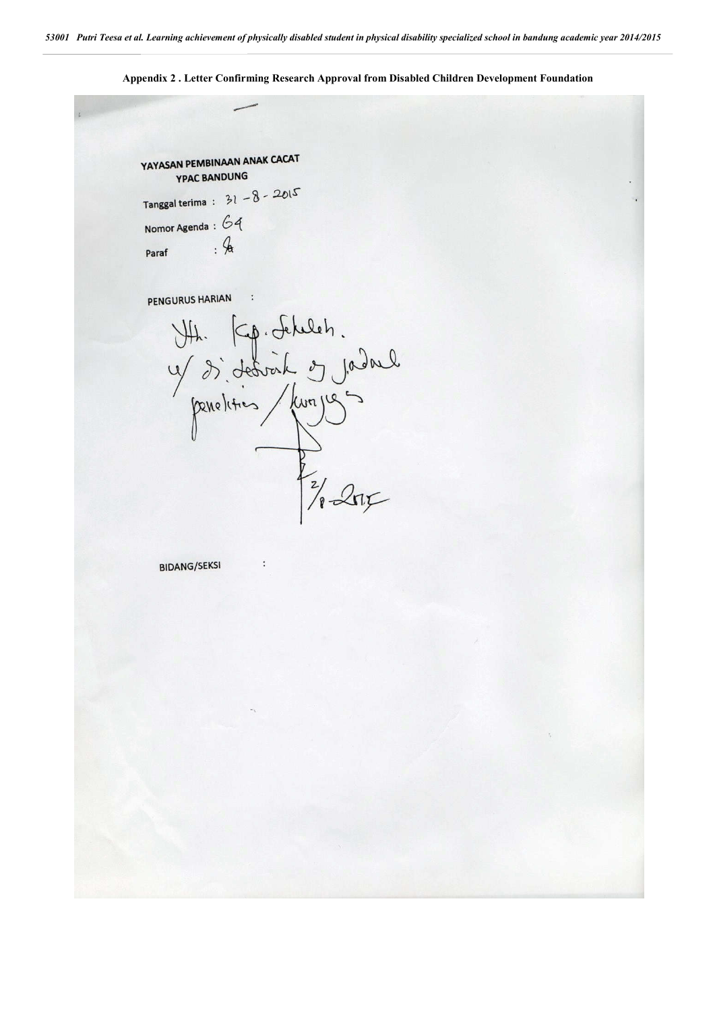YAYASAN PEMBINAAN ANAK CACAT **YPAC BANDUNG** Tanggal terima :  $31 - 8 - 2015$ Nomor Agenda :  $64$  $.4$ Paraf PENGURUS HARIAN

VII. Kp. Schleh.<br>4 décreit en jadrel<br>pendities / Lunges

 $\ddot{\phantom{a}}$ 

**BIDANG/SEKSI** 

**Appendix 2 . Letter Confirming Research Approval from Disabled Children Development Foundation**